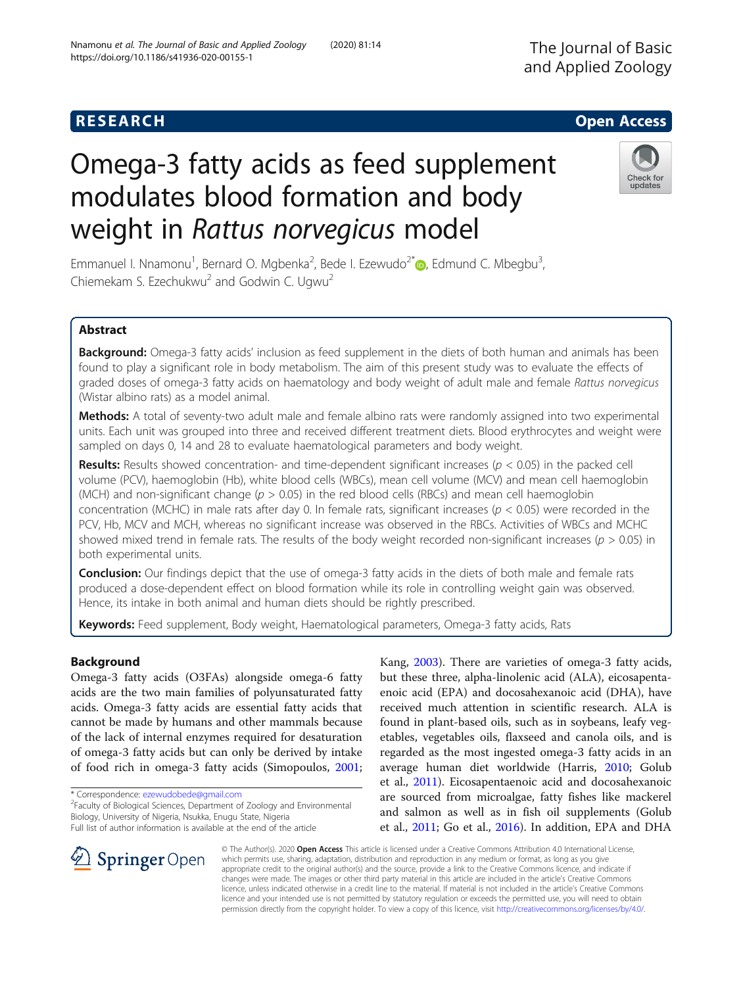# Omega-3 fatty acids as feed supplement modulates blood formation and body weight in Rattus norvegicus model

Emmanuel I. Nnamonu<sup>1</sup>[,](https://orcid.org/0000-0002-1149-5788) Bernard O. Mgbenka<sup>2</sup>, Bede I. Ezewudo<sup>2\*</sup>®, Edmund C. Mbegbu<sup>3</sup> , Chiemekam S. Ezechukwu<sup>2</sup> and Godwin C. Ugwu<sup>2</sup>

# Abstract

Background: Omega-3 fatty acids' inclusion as feed supplement in the diets of both human and animals has been found to play a significant role in body metabolism. The aim of this present study was to evaluate the effects of graded doses of omega-3 fatty acids on haematology and body weight of adult male and female Rattus norvegicus (Wistar albino rats) as a model animal.

Methods: A total of seventy-two adult male and female albino rats were randomly assigned into two experimental units. Each unit was grouped into three and received different treatment diets. Blood erythrocytes and weight were sampled on days 0, 14 and 28 to evaluate haematological parameters and body weight.

**Results:** Results showed concentration- and time-dependent significant increases ( $p < 0.05$ ) in the packed cell volume (PCV), haemoglobin (Hb), white blood cells (WBCs), mean cell volume (MCV) and mean cell haemoglobin (MCH) and non-significant change ( $p > 0.05$ ) in the red blood cells (RBCs) and mean cell haemoglobin concentration (MCHC) in male rats after day 0. In female rats, significant increases ( $p < 0.05$ ) were recorded in the PCV, Hb, MCV and MCH, whereas no significant increase was observed in the RBCs. Activities of WBCs and MCHC showed mixed trend in female rats. The results of the body weight recorded non-significant increases ( $p > 0.05$ ) in both experimental units.

**Conclusion:** Our findings depict that the use of omega-3 fatty acids in the diets of both male and female rats produced a dose-dependent effect on blood formation while its role in controlling weight gain was observed. Hence, its intake in both animal and human diets should be rightly prescribed.

Keywords: Feed supplement, Body weight, Haematological parameters, Omega-3 fatty acids, Rats

# Background

Omega-3 fatty acids (O3FAs) alongside omega-6 fatty acids are the two main families of polyunsaturated fatty acids. Omega-3 fatty acids are essential fatty acids that cannot be made by humans and other mammals because of the lack of internal enzymes required for desaturation of omega-3 fatty acids but can only be derived by intake of food rich in omega-3 fatty acids (Simopoulos, [2001](#page-7-0);

\* Correspondence: [ezewudobede@gmail.com](mailto:ezewudobede@gmail.com) <sup>2</sup>

<sup>2</sup>Faculty of Biological Sciences, Department of Zoology and Environmental Biology, University of Nigeria, Nsukka, Enugu State, Nigeria Full list of author information is available at the end of the article

but these three, alpha-linolenic acid (ALA), eicosapentaenoic acid (EPA) and docosahexanoic acid (DHA), have received much attention in scientific research. ALA is found in plant-based oils, such as in soybeans, leafy vegetables, vegetables oils, flaxseed and canola oils, and is regarded as the most ingested omega-3 fatty acids in an average human diet worldwide (Harris, [2010;](#page-7-0) Golub et al., [2011](#page-7-0)). Eicosapentaenoic acid and docosahexanoic are sourced from microalgae, fatty fishes like mackerel and salmon as well as in fish oil supplements (Golub et al., [2011](#page-7-0); Go et al., [2016\)](#page-7-0). In addition, EPA and DHA

Kang, [2003\)](#page-7-0). There are varieties of omega-3 fatty acids,

© The Author(s). 2020 Open Access This article is licensed under a Creative Commons Attribution 4.0 International License, which permits use, sharing, adaptation, distribution and reproduction in any medium or format, as long as you give appropriate credit to the original author(s) and the source, provide a link to the Creative Commons licence, and indicate if changes were made. The images or other third party material in this article are included in the article's Creative Commons licence, unless indicated otherwise in a credit line to the material. If material is not included in the article's Creative Commons licence and your intended use is not permitted by statutory regulation or exceeds the permitted use, you will need to obtain permission directly from the copyright holder. To view a copy of this licence, visit <http://creativecommons.org/licenses/by/4.0/>.

Nnamonu et al. The Journal of Basic and Applied Zoology (2020) 81:14

https://doi.org/10.1186/s41936-020-00155-1





**RESEARCH CHE Open Access**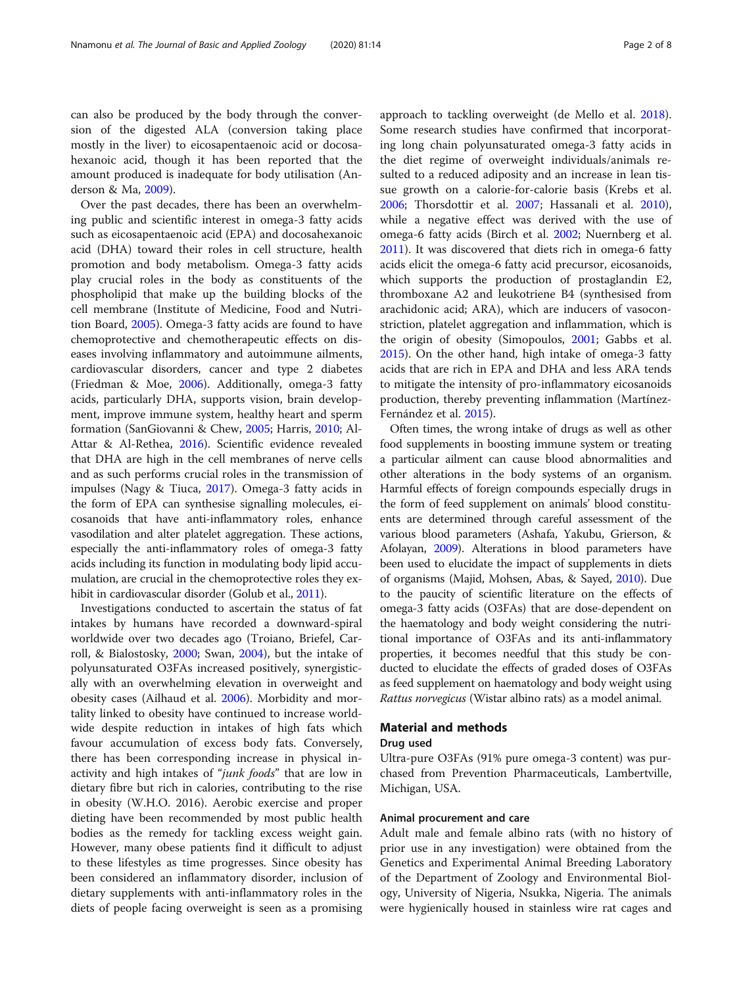can also be produced by the body through the conversion of the digested ALA (conversion taking place mostly in the liver) to eicosapentaenoic acid or docosahexanoic acid, though it has been reported that the amount produced is inadequate for body utilisation (Anderson & Ma, [2009\)](#page-6-0).

Over the past decades, there has been an overwhelming public and scientific interest in omega-3 fatty acids such as eicosapentaenoic acid (EPA) and docosahexanoic acid (DHA) toward their roles in cell structure, health promotion and body metabolism. Omega-3 fatty acids play crucial roles in the body as constituents of the phospholipid that make up the building blocks of the cell membrane (Institute of Medicine, Food and Nutrition Board, [2005\)](#page-7-0). Omega-3 fatty acids are found to have chemoprotective and chemotherapeutic effects on diseases involving inflammatory and autoimmune ailments, cardiovascular disorders, cancer and type 2 diabetes (Friedman & Moe, [2006](#page-7-0)). Additionally, omega-3 fatty acids, particularly DHA, supports vision, brain development, improve immune system, healthy heart and sperm formation (SanGiovanni & Chew, [2005;](#page-7-0) Harris, [2010](#page-7-0); Al-Attar & Al-Rethea, [2016](#page-6-0)). Scientific evidence revealed that DHA are high in the cell membranes of nerve cells and as such performs crucial roles in the transmission of impulses (Nagy & Tiuca, [2017\)](#page-7-0). Omega-3 fatty acids in the form of EPA can synthesise signalling molecules, eicosanoids that have anti-inflammatory roles, enhance vasodilation and alter platelet aggregation. These actions, especially the anti-inflammatory roles of omega-3 fatty acids including its function in modulating body lipid accumulation, are crucial in the chemoprotective roles they exhibit in cardiovascular disorder (Golub et al., [2011\)](#page-7-0).

Investigations conducted to ascertain the status of fat intakes by humans have recorded a downward-spiral worldwide over two decades ago (Troiano, Briefel, Carroll, & Bialostosky, [2000](#page-7-0); Swan, [2004](#page-7-0)), but the intake of polyunsaturated O3FAs increased positively, synergistically with an overwhelming elevation in overweight and obesity cases (Ailhaud et al. [2006](#page-6-0)). Morbidity and mortality linked to obesity have continued to increase worldwide despite reduction in intakes of high fats which favour accumulation of excess body fats. Conversely, there has been corresponding increase in physical inactivity and high intakes of "junk foods" that are low in dietary fibre but rich in calories, contributing to the rise in obesity (W.H.O. 2016). Aerobic exercise and proper dieting have been recommended by most public health bodies as the remedy for tackling excess weight gain. However, many obese patients find it difficult to adjust to these lifestyles as time progresses. Since obesity has been considered an inflammatory disorder, inclusion of dietary supplements with anti-inflammatory roles in the diets of people facing overweight is seen as a promising approach to tackling overweight (de Mello et al. [2018](#page-7-0)). Some research studies have confirmed that incorporating long chain polyunsaturated omega-3 fatty acids in the diet regime of overweight individuals/animals resulted to a reduced adiposity and an increase in lean tissue growth on a calorie-for-calorie basis (Krebs et al. [2006](#page-7-0); Thorsdottir et al. [2007](#page-7-0); Hassanali et al. [2010](#page-7-0)), while a negative effect was derived with the use of omega-6 fatty acids (Birch et al. [2002;](#page-7-0) Nuernberg et al. [2011](#page-7-0)). It was discovered that diets rich in omega-6 fatty acids elicit the omega-6 fatty acid precursor, eicosanoids, which supports the production of prostaglandin E2, thromboxane A2 and leukotriene B4 (synthesised from arachidonic acid; ARA), which are inducers of vasoconstriction, platelet aggregation and inflammation, which is the origin of obesity (Simopoulos, [2001;](#page-7-0) Gabbs et al. [2015](#page-7-0)). On the other hand, high intake of omega-3 fatty acids that are rich in EPA and DHA and less ARA tends to mitigate the intensity of pro-inflammatory eicosanoids production, thereby preventing inflammation (Martínez-Fernández et al. [2015](#page-7-0)).

Often times, the wrong intake of drugs as well as other food supplements in boosting immune system or treating a particular ailment can cause blood abnormalities and other alterations in the body systems of an organism. Harmful effects of foreign compounds especially drugs in the form of feed supplement on animals' blood constituents are determined through careful assessment of the various blood parameters (Ashafa, Yakubu, Grierson, & Afolayan, [2009](#page-7-0)). Alterations in blood parameters have been used to elucidate the impact of supplements in diets of organisms (Majid, Mohsen, Abas, & Sayed, [2010](#page-7-0)). Due to the paucity of scientific literature on the effects of omega-3 fatty acids (O3FAs) that are dose-dependent on the haematology and body weight considering the nutritional importance of O3FAs and its anti-inflammatory properties, it becomes needful that this study be conducted to elucidate the effects of graded doses of O3FAs as feed supplement on haematology and body weight using Rattus norvegicus (Wistar albino rats) as a model animal.

# Material and methods

# Drug used

Ultra-pure O3FAs (91% pure omega-3 content) was purchased from Prevention Pharmaceuticals, Lambertville, Michigan, USA.

# Animal procurement and care

Adult male and female albino rats (with no history of prior use in any investigation) were obtained from the Genetics and Experimental Animal Breeding Laboratory of the Department of Zoology and Environmental Biology, University of Nigeria, Nsukka, Nigeria. The animals were hygienically housed in stainless wire rat cages and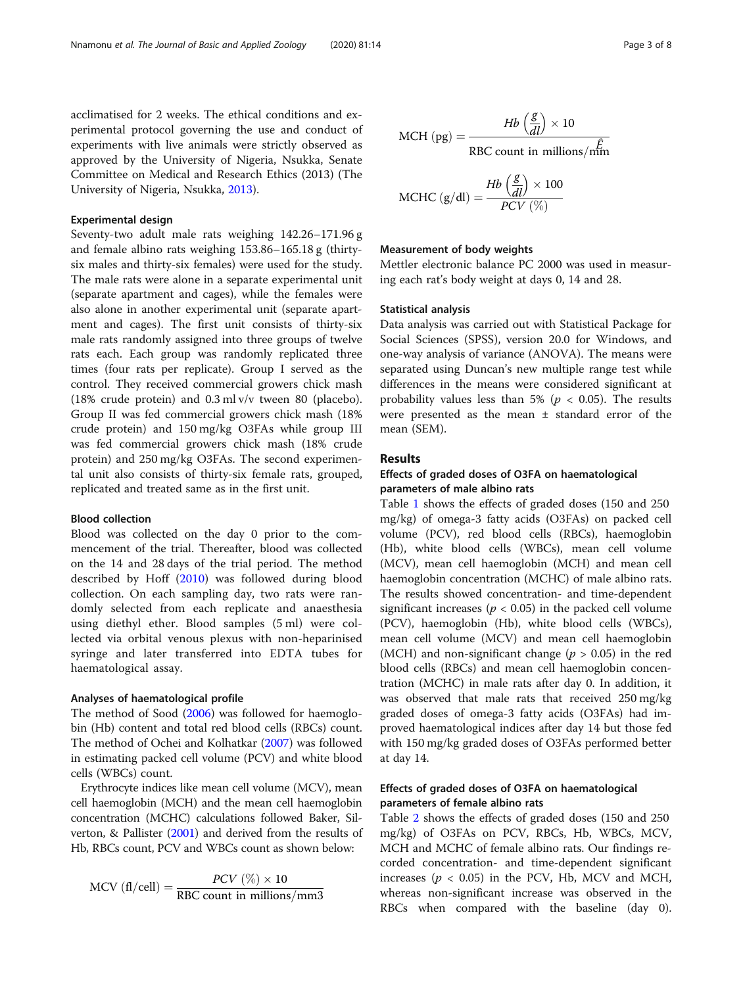acclimatised for 2 weeks. The ethical conditions and experimental protocol governing the use and conduct of experiments with live animals were strictly observed as approved by the University of Nigeria, Nsukka, Senate Committee on Medical and Research Ethics (2013) (The University of Nigeria, Nsukka, [2013\)](#page-7-0).

# Experimental design

Seventy-two adult male rats weighing 142.26–171.96 g and female albino rats weighing 153.86–165.18 g (thirtysix males and thirty-six females) were used for the study. The male rats were alone in a separate experimental unit (separate apartment and cages), while the females were also alone in another experimental unit (separate apartment and cages). The first unit consists of thirty-six male rats randomly assigned into three groups of twelve rats each. Each group was randomly replicated three times (four rats per replicate). Group I served as the control. They received commercial growers chick mash (18% crude protein) and 0.3 ml v/v tween 80 (placebo). Group II was fed commercial growers chick mash (18% crude protein) and 150 mg/kg O3FAs while group III was fed commercial growers chick mash (18% crude protein) and 250 mg/kg O3FAs. The second experimental unit also consists of thirty-six female rats, grouped, replicated and treated same as in the first unit.

# Blood collection

Blood was collected on the day 0 prior to the commencement of the trial. Thereafter, blood was collected on the 14 and 28 days of the trial period. The method described by Hoff [\(2010](#page-7-0)) was followed during blood collection. On each sampling day, two rats were randomly selected from each replicate and anaesthesia using diethyl ether. Blood samples (5 ml) were collected via orbital venous plexus with non-heparinised syringe and later transferred into EDTA tubes for haematological assay.

### Analyses of haematological profile

The method of Sood [\(2006](#page-7-0)) was followed for haemoglobin (Hb) content and total red blood cells (RBCs) count. The method of Ochei and Kolhatkar [\(2007\)](#page-7-0) was followed in estimating packed cell volume (PCV) and white blood cells (WBCs) count.

Erythrocyte indices like mean cell volume (MCV), mean cell haemoglobin (MCH) and the mean cell haemoglobin concentration (MCHC) calculations followed Baker, Silverton, & Pallister [\(2001](#page-7-0)) and derived from the results of Hb, RBCs count, PCV and WBCs count as shown below:

$$
MCV \text{ (fl/cell)} = \frac{PCV \text{ (\%)} \times 10}{RBC \text{ count in millions/mm3}}
$$

MCH (pg) = 
$$
\frac{Hb\left(\frac{g}{dl}\right) \times 10}{RBC \text{ count in millions/mm}}
$$

$$
\text{MCHC (g/dl)} = \frac{\text{Hb} \left(\frac{\text{g}}{\text{d}l}\right) \times 100}{\text{PCV} \left(\% \right)}
$$

# Measurement of body weights

Mettler electronic balance PC 2000 was used in measuring each rat's body weight at days 0, 14 and 28.

# Statistical analysis

Data analysis was carried out with Statistical Package for Social Sciences (SPSS), version 20.0 for Windows, and one-way analysis of variance (ANOVA). The means were separated using Duncan's new multiple range test while differences in the means were considered significant at probability values less than 5% ( $p < 0.05$ ). The results were presented as the mean ± standard error of the mean (SEM).

# Results

# Effects of graded doses of O3FA on haematological parameters of male albino rats

Table [1](#page-3-0) shows the effects of graded doses (150 and 250 mg/kg) of omega-3 fatty acids (O3FAs) on packed cell volume (PCV), red blood cells (RBCs), haemoglobin (Hb), white blood cells (WBCs), mean cell volume (MCV), mean cell haemoglobin (MCH) and mean cell haemoglobin concentration (MCHC) of male albino rats. The results showed concentration- and time-dependent significant increases ( $p < 0.05$ ) in the packed cell volume (PCV), haemoglobin (Hb), white blood cells (WBCs), mean cell volume (MCV) and mean cell haemoglobin (MCH) and non-significant change ( $p > 0.05$ ) in the red blood cells (RBCs) and mean cell haemoglobin concentration (MCHC) in male rats after day 0. In addition, it was observed that male rats that received 250 mg/kg graded doses of omega-3 fatty acids (O3FAs) had improved haematological indices after day 14 but those fed with 150 mg/kg graded doses of O3FAs performed better at day 14.

# Effects of graded doses of O3FA on haematological parameters of female albino rats

Table [2](#page-4-0) shows the effects of graded doses (150 and 250 mg/kg) of O3FAs on PCV, RBCs, Hb, WBCs, MCV, MCH and MCHC of female albino rats. Our findings recorded concentration- and time-dependent significant increases ( $p < 0.05$ ) in the PCV, Hb, MCV and MCH, whereas non-significant increase was observed in the RBCs when compared with the baseline (day 0).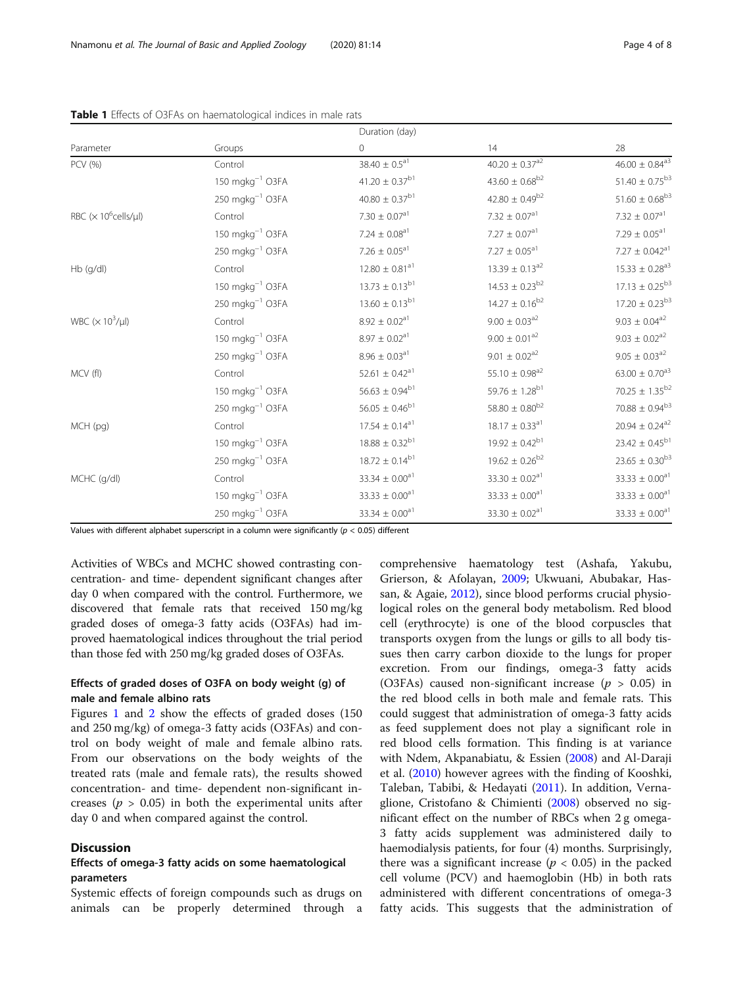|                           |                                        | Duration (day)                 |                                 |                                |
|---------------------------|----------------------------------------|--------------------------------|---------------------------------|--------------------------------|
| Parameter                 | Groups                                 | $\circ$                        | 14                              | 28                             |
| PCV (%)                   | Control                                | $38.40 \pm 0.5$ <sup>a1</sup>  | $40.20 \pm 0.37$ <sup>a2</sup>  | $46.00 \pm 0.84$ <sup>a3</sup> |
|                           | 150 mgkg <sup>-1</sup> O3FA            | $41.20 \pm 0.37^{b1}$          | $43.60 \pm 0.68^{b2}$           | $51.40 \pm 0.75^{b3}$          |
|                           | $250 \text{ m}$ gkg <sup>-1</sup> O3FA | $40.80\pm0.37^{\rm b1}$        | $42.80 \pm 0.49^{b2}$           | $51.60 \pm 0.68^{b3}$          |
| RBC $(x 10^6$ cells/µl)   | Control                                | $7.30 \pm 0.07$ <sup>a1</sup>  | $7.32\,\pm\,0.07^{\mathrm{a}1}$ | $7.32 \pm 0.07$ <sup>a1</sup>  |
|                           | $150 \text{ m}$ gkg <sup>-1</sup> O3FA | $7.24 \pm 0.08^{a1}$           | $7.27 \pm 0.07^{\text{a}1}$     | $7.29 \pm 0.05$ <sup>a1</sup>  |
|                           | $250 \text{ m}$ gkg <sup>-1</sup> O3FA | $7.26 \pm 0.05^{\text{a}1}$    | $7.27\,\pm\,0.05^{\mathrm{a}1}$ | $7.27 \pm 0.042^{\text{a}1}$   |
| $Hb$ (g/dl)               | Control                                | $12.80 \pm 0.81$ <sup>a1</sup> | $13.39 \pm 0.13^{a2}$           | $15.33 \pm 0.28^{\rm a3}$      |
|                           | $150 \text{ m}$ gkg <sup>-1</sup> O3FA | $13.73 \pm 0.13^{b1}$          | $14.53 \pm 0.23^{b2}$           | $17.13 \pm 0.25^{b3}$          |
|                           | $250 \text{ m}$ gkg <sup>-1</sup> O3FA | $13.60 \pm 0.13^{b1}$          | $14.27 \pm 0.16^{b2}$           | $17.20 \pm 0.23^{b3}$          |
| WBC $(\times 10^3/\mu l)$ | Control                                | $8.92 \pm 0.02^{\text{a}1}$    | $9.00 \pm 0.03$ <sup>a2</sup>   | $9.03 \pm 0.04^{a2}$           |
|                           | $150 \text{ m}$ gkg <sup>-1</sup> O3FA | $8.97 \pm 0.02^{a1}$           | $9.00\pm0.01^{\text{a2}}$       | $9.03 \pm 0.02$ <sup>a2</sup>  |
|                           | $250 \text{ m}$ gkg <sup>-1</sup> O3FA | $8.96 \pm 0.03^{\text{a}1}$    | $9.01 \pm 0.02$ <sup>a2</sup>   | $9.05 \pm 0.03$ <sup>a2</sup>  |
| MCV (fl)                  | Control                                | 52.61 $\pm$ 0.42 <sup>a1</sup> | $55.10 \pm 0.98$ <sup>a2</sup>  | $63.00 \pm 0.70^{a3}$          |
|                           | $150 \text{ m}$ gkg <sup>-1</sup> O3FA | $56.63 \pm 0.94^{b1}$          | $59.76 \pm 1.28^{b1}$           | $70.25 \pm 1.35^{b2}$          |
|                           | $250 \text{ m}$ gkg <sup>-1</sup> O3FA | $56.05 \pm 0.46^{b1}$          | $58.80 \pm 0.80^{\rm b2}$       | $70.88 \pm 0.94^{\rm b3}$      |
| MCH (pg)                  | Control                                | $17.54 \pm 0.14$ <sup>a1</sup> | $18.17 \pm 0.33$ <sup>a1</sup>  | $20.94 \pm 0.24$ <sup>a2</sup> |
|                           | $150 \text{ m}$ gkg <sup>-1</sup> O3FA | $18.88 \pm 0.32^{b1}$          | $19.92 \pm 0.42^{b1}$           | $23.42 \pm 0.45^{b1}$          |
|                           | $250 \text{ m}$ gkg <sup>-1</sup> O3FA | $18.72 \pm 0.14^{b1}$          | $19.62 \pm 0.26^{b2}$           | $23.65\,\pm\,0.30^{\rm b3}$    |
| MCHC (g/dl)               | Control                                | 33.34 $\pm$ 0.00 <sup>a1</sup> | $33.30 \pm 0.02$ <sup>a1</sup>  | $33.33 \pm 0.00^{a1}$          |
|                           | 150 mgkg <sup>-1</sup> O3FA            | $33.33 \pm 0.00$ <sup>a1</sup> | $33.33 \pm 0.00$ <sup>a1</sup>  | 33.33 $\pm$ 0.00 $^{\rm a1}$   |
|                           | 250 mgkg <sup>-1</sup> O3FA            | 33.34 $\pm$ 0.00 <sup>a1</sup> | $33.30 \pm 0.02$ <sup>a1</sup>  | $33.33\,\pm\,0.00^{\rm a1}$    |

<span id="page-3-0"></span>Table 1 Effects of O3FAs on haematological indices in male rats

Values with different alphabet superscript in a column were significantly ( $p < 0.05$ ) different

Activities of WBCs and MCHC showed contrasting concentration- and time- dependent significant changes after day 0 when compared with the control. Furthermore, we discovered that female rats that received 150 mg/kg graded doses of omega-3 fatty acids (O3FAs) had improved haematological indices throughout the trial period than those fed with 250 mg/kg graded doses of O3FAs.

# Effects of graded doses of O3FA on body weight (g) of male and female albino rats

Figures [1](#page-4-0) and [2](#page-5-0) show the effects of graded doses (150 and 250 mg/kg) of omega-3 fatty acids (O3FAs) and control on body weight of male and female albino rats. From our observations on the body weights of the treated rats (male and female rats), the results showed concentration- and time- dependent non-significant increases ( $p > 0.05$ ) in both the experimental units after day 0 and when compared against the control.

# **Discussion**

# Effects of omega-3 fatty acids on some haematological parameters

Systemic effects of foreign compounds such as drugs on animals can be properly determined through a

comprehensive haematology test (Ashafa, Yakubu, Grierson, & Afolayan, [2009](#page-7-0); Ukwuani, Abubakar, Hassan, & Agaie, [2012](#page-7-0)), since blood performs crucial physiological roles on the general body metabolism. Red blood cell (erythrocyte) is one of the blood corpuscles that transports oxygen from the lungs or gills to all body tissues then carry carbon dioxide to the lungs for proper excretion. From our findings, omega-3 fatty acids (O3FAs) caused non-significant increase ( $p > 0.05$ ) in the red blood cells in both male and female rats. This could suggest that administration of omega-3 fatty acids as feed supplement does not play a significant role in red blood cells formation. This finding is at variance with Ndem, Akpanabiatu, & Essien [\(2008\)](#page-7-0) and Al-Daraji et al. ([2010\)](#page-6-0) however agrees with the finding of Kooshki, Taleban, Tabibi, & Hedayati ([2011](#page-7-0)). In addition, Vernaglione, Cristofano & Chimienti [\(2008\)](#page-7-0) observed no significant effect on the number of RBCs when 2 g omega-3 fatty acids supplement was administered daily to haemodialysis patients, for four (4) months. Surprisingly, there was a significant increase ( $p < 0.05$ ) in the packed cell volume (PCV) and haemoglobin (Hb) in both rats administered with different concentrations of omega-3 fatty acids. This suggests that the administration of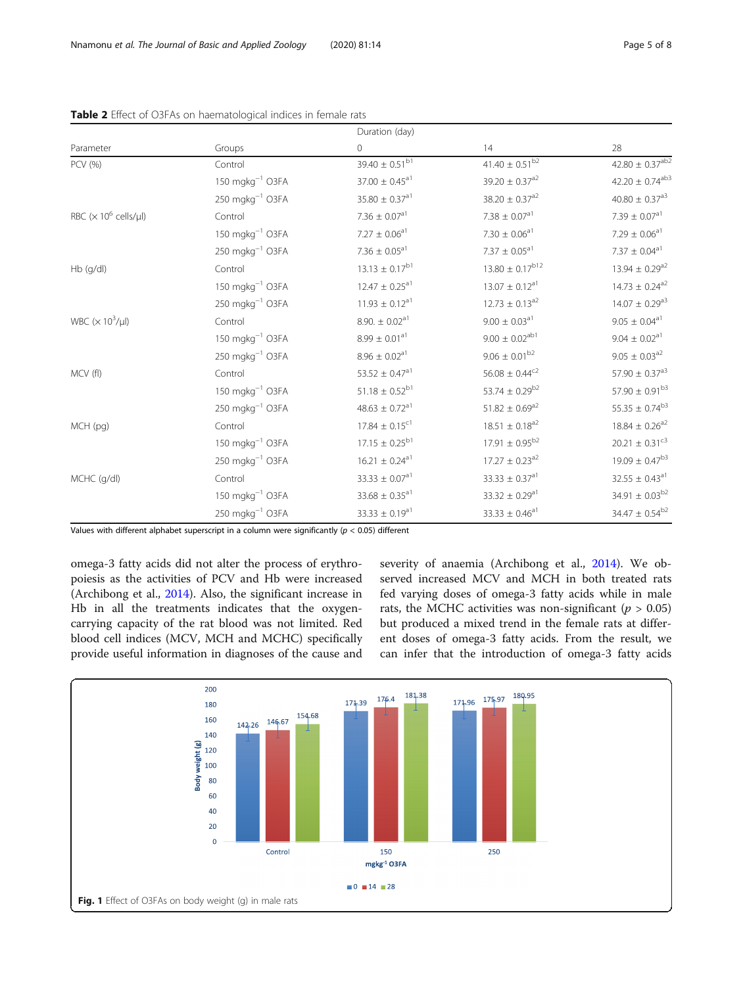|                                          |                                        | Duration (day)                 |                                |                                 |
|------------------------------------------|----------------------------------------|--------------------------------|--------------------------------|---------------------------------|
| Parameter                                | Groups                                 | 0                              | 14                             | 28                              |
| PCV (%)                                  | Control                                | $39.40 \pm 0.51^{b1}$          | 41.40 $\pm$ 0.51 <sup>b2</sup> | 42.80 $\pm$ 0.37 <sup>ab2</sup> |
|                                          | $150 \text{ m}$ gkg <sup>-1</sup> O3FA | $37.00 \pm 0.45$ <sup>a1</sup> | $39.20 \pm 0.37$ <sup>a2</sup> | $42.20 \pm 0.74$ <sup>ab3</sup> |
|                                          | $250 \text{ m}$ gkg <sup>-1</sup> O3FA | $35.80 \pm 0.37$ <sup>a1</sup> | $38.20 \pm 0.37$ <sup>a2</sup> | $40.80 \pm 0.37$ <sup>a3</sup>  |
| RBC $(x 10^6 \text{ cells/}\mu\text{I})$ | Control                                | 7.36 $\pm$ 0.07 <sup>a1</sup>  | $7.38 \pm 0.07$ <sup>a1</sup>  | 7.39 $\pm$ 0.07 <sup>a1</sup>   |
|                                          | $150 \text{ m}$ gkg <sup>-1</sup> O3FA | $7.27 \pm 0.06$ <sup>a1</sup>  | $7.30\pm0.06^{\mathrm{a}1}$    | $7.29 \pm 0.06$ <sup>a1</sup>   |
|                                          | $250 \text{ m}$ gkg <sup>-1</sup> O3FA | 7.36 $\pm$ 0.05 $^{\rm a1}$    | $7.37 \pm 0.05$ <sup>a1</sup>  | $7.37\pm0.04^{\mathrm{a}1}$     |
| Hb (g/dl)                                | Control                                | $13.13 \pm 0.17^{b1}$          | $13.80 \pm 0.17^{b12}$         | $13.94 \pm 0.29^{a2}$           |
|                                          | $150 \text{ m}$ gkg <sup>-1</sup> O3FA | $12.47 \pm 0.25$ <sup>a1</sup> | $13.07 \pm 0.12$ <sup>a1</sup> | $14.73 \pm 0.24$ <sup>a2</sup>  |
|                                          | $250 \text{ m}$ gkg <sup>-1</sup> O3FA | $11.93 \pm 0.12$ <sup>a1</sup> | $12.73 \pm 0.13^{a2}$          | $14.07 \pm 0.29$ <sup>a3</sup>  |
| WBC $(\times 10^3/\mu l)$                | Control                                | $8.90. \pm 0.02$ <sup>a1</sup> | $9.00 \pm 0.03$ <sup>a1</sup>  | $9.05\,\pm\,0.04^{\rm a1}$      |
|                                          | $150 \text{ m}$ gkg <sup>-1</sup> O3FA | $8.99 \pm 0.01$ <sup>a1</sup>  | $9.00 \pm 0.02^{ab1}$          | $9.04 \pm 0.02$ <sup>a1</sup>   |
|                                          | $250 \text{ m}$ gkg <sup>-1</sup> O3FA | $8.96 \pm 0.02$ <sup>a1</sup>  | $9.06 \pm 0.01^{b2}$           | $9.05 \pm 0.03$ <sup>a2</sup>   |
| MCV (fl)                                 | Control                                | $53.52 \pm 0.47$ <sup>a1</sup> | $56.08 \pm 0.44^{\rm c2}$      | $57.90 \pm 0.37$ <sup>a3</sup>  |
|                                          | $150$ mgkg $^{-1}$ O3FA                | $51.18 \pm 0.52^{b1}$          | 53.74 $\pm$ 0.29 <sup>b2</sup> | $57.90 \pm 0.91^{b3}$           |
|                                          | $250 \text{ m}$ gkg <sup>-1</sup> O3FA | $48.63 \pm 0.72$ <sup>a1</sup> | $51.82 \pm 0.69^{a2}$          | $55.35 \pm 0.74^{b3}$           |
| MCH (pg)                                 | Control                                | $17.84 \pm 0.15$ <sup>c1</sup> | $18.51 \pm 0.18$ <sup>a2</sup> | $18.84 \pm 0.26$ <sup>a2</sup>  |
|                                          | $150 \text{ m}$ gkg <sup>-1</sup> O3FA | $17.15 \pm 0.25^{b1}$          | $17.91 \pm 0.95^{b2}$          | 20.21 $\pm$ 0.31 $^{c3}$        |
|                                          | $250 \text{ m}$ gkg <sup>-1</sup> O3FA | $16.21 \pm 0.24$ <sup>a1</sup> | $17.27 \pm 0.23$ <sup>a2</sup> | $19.09 \pm 0.47^{b3}$           |
| MCHC (g/dl)                              | Control                                | $33.33 \pm 0.07$ <sup>a1</sup> | $33.33 \pm 0.37$ <sup>a1</sup> | $32.55 \pm 0.43$ <sup>a1</sup>  |
|                                          | $150 \text{ m}$ gkg <sup>-1</sup> O3FA | $33.68 \pm 0.35$ <sup>a1</sup> | $33.32 \pm 0.29$ <sup>a1</sup> | 34.91 $\pm$ 0.03 <sup>b2</sup>  |
|                                          | $250 \text{ m}$ gkg <sup>-1</sup> O3FA | $33.33 \pm 0.19$ <sup>a1</sup> | $33.33 \pm 0.46$ <sup>a1</sup> | 34.47 $\pm$ 0.54 <sup>b2</sup>  |

<span id="page-4-0"></span>

Values with different alphabet superscript in a column were significantly ( $p < 0.05$ ) different

omega-3 fatty acids did not alter the process of erythropoiesis as the activities of PCV and Hb were increased (Archibong et al., [2014\)](#page-6-0). Also, the significant increase in Hb in all the treatments indicates that the oxygencarrying capacity of the rat blood was not limited. Red blood cell indices (MCV, MCH and MCHC) specifically provide useful information in diagnoses of the cause and severity of anaemia (Archibong et al., [2014](#page-6-0)). We observed increased MCV and MCH in both treated rats fed varying doses of omega-3 fatty acids while in male rats, the MCHC activities was non-significant ( $p > 0.05$ ) but produced a mixed trend in the female rats at different doses of omega-3 fatty acids. From the result, we can infer that the introduction of omega-3 fatty acids

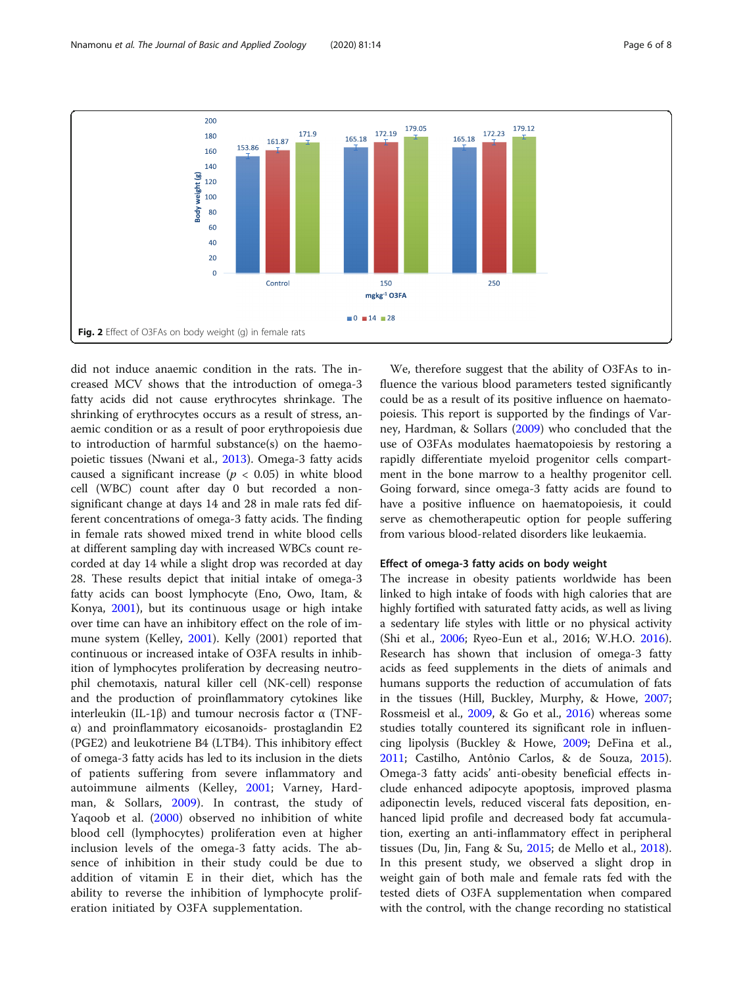<span id="page-5-0"></span>

did not induce anaemic condition in the rats. The increased MCV shows that the introduction of omega-3 fatty acids did not cause erythrocytes shrinkage. The shrinking of erythrocytes occurs as a result of stress, anaemic condition or as a result of poor erythropoiesis due to introduction of harmful substance(s) on the haemopoietic tissues (Nwani et al., [2013\)](#page-7-0). Omega-3 fatty acids caused a significant increase ( $p < 0.05$ ) in white blood cell (WBC) count after day 0 but recorded a nonsignificant change at days 14 and 28 in male rats fed different concentrations of omega-3 fatty acids. The finding in female rats showed mixed trend in white blood cells at different sampling day with increased WBCs count recorded at day 14 while a slight drop was recorded at day 28. These results depict that initial intake of omega-3 fatty acids can boost lymphocyte (Eno, Owo, Itam, & Konya, [2001](#page-7-0)), but its continuous usage or high intake over time can have an inhibitory effect on the role of immune system (Kelley, [2001\)](#page-7-0). Kelly (2001) reported that continuous or increased intake of O3FA results in inhibition of lymphocytes proliferation by decreasing neutrophil chemotaxis, natural killer cell (NK-cell) response and the production of proinflammatory cytokines like interleukin (IL-1β) and tumour necrosis factor α (TNFα) and proinflammatory eicosanoids- prostaglandin E2 (PGE2) and leukotriene B4 (LTB4). This inhibitory effect of omega-3 fatty acids has led to its inclusion in the diets of patients suffering from severe inflammatory and autoimmune ailments (Kelley, [2001](#page-7-0); Varney, Hardman, & Sollars, [2009\)](#page-7-0). In contrast, the study of Yaqoob et al. [\(2000](#page-7-0)) observed no inhibition of white blood cell (lymphocytes) proliferation even at higher inclusion levels of the omega-3 fatty acids. The absence of inhibition in their study could be due to addition of vitamin E in their diet, which has the ability to reverse the inhibition of lymphocyte proliferation initiated by O3FA supplementation.

We, therefore suggest that the ability of O3FAs to influence the various blood parameters tested significantly could be as a result of its positive influence on haematopoiesis. This report is supported by the findings of Varney, Hardman, & Sollars ([2009](#page-7-0)) who concluded that the use of O3FAs modulates haematopoiesis by restoring a rapidly differentiate myeloid progenitor cells compartment in the bone marrow to a healthy progenitor cell. Going forward, since omega-3 fatty acids are found to have a positive influence on haematopoiesis, it could serve as chemotherapeutic option for people suffering from various blood-related disorders like leukaemia.

# Effect of omega-3 fatty acids on body weight

The increase in obesity patients worldwide has been linked to high intake of foods with high calories that are highly fortified with saturated fatty acids, as well as living a sedentary life styles with little or no physical activity (Shi et al., [2006;](#page-7-0) Ryeo-Eun et al., 2016; W.H.O. [2016](#page-7-0)). Research has shown that inclusion of omega-3 fatty acids as feed supplements in the diets of animals and humans supports the reduction of accumulation of fats in the tissues (Hill, Buckley, Murphy, & Howe, [2007](#page-7-0); Rossmeisl et al., [2009,](#page-7-0) & Go et al., [2016\)](#page-7-0) whereas some studies totally countered its significant role in influencing lipolysis (Buckley & Howe, [2009](#page-7-0); DeFina et al., [2011](#page-7-0); Castilho, Antônio Carlos, & de Souza, [2015](#page-7-0)). Omega-3 fatty acids' anti-obesity beneficial effects include enhanced adipocyte apoptosis, improved plasma adiponectin levels, reduced visceral fats deposition, enhanced lipid profile and decreased body fat accumulation, exerting an anti-inflammatory effect in peripheral tissues (Du, Jin, Fang & Su, [2015](#page-7-0); de Mello et al., [2018](#page-7-0)). In this present study, we observed a slight drop in weight gain of both male and female rats fed with the tested diets of O3FA supplementation when compared with the control, with the change recording no statistical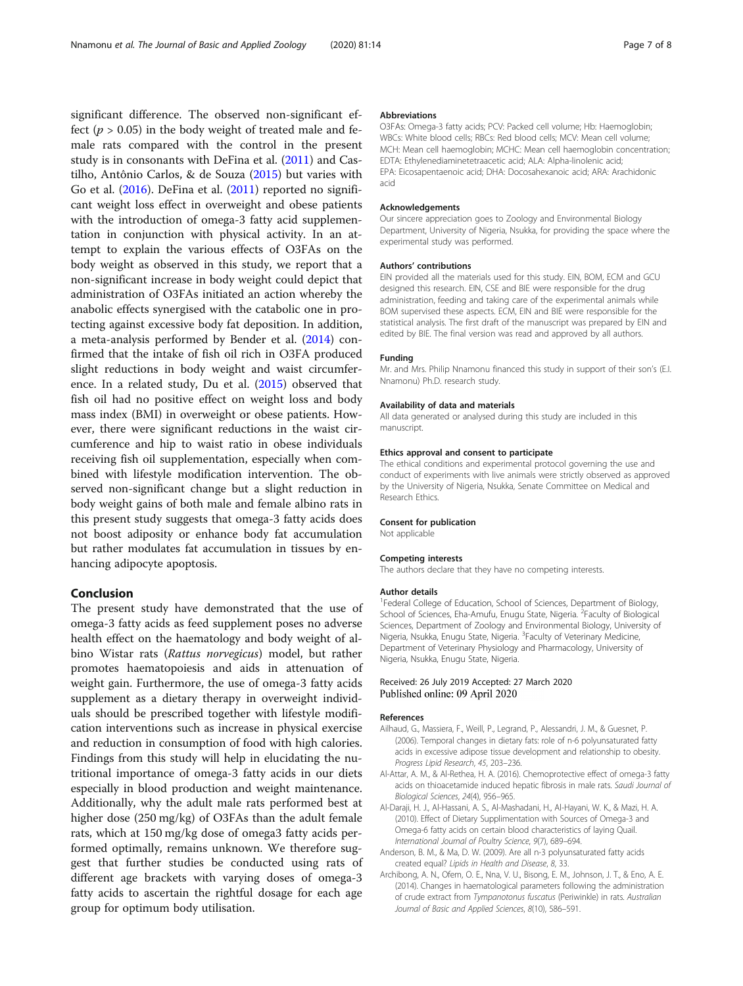<span id="page-6-0"></span>significant difference. The observed non-significant effect ( $p > 0.05$ ) in the body weight of treated male and female rats compared with the control in the present study is in consonants with DeFina et al. ([2011](#page-7-0)) and Castilho, Antônio Carlos, & de Souza [\(2015\)](#page-7-0) but varies with Go et al. [\(2016](#page-7-0)). DeFina et al. ([2011](#page-7-0)) reported no significant weight loss effect in overweight and obese patients with the introduction of omega-3 fatty acid supplementation in conjunction with physical activity. In an attempt to explain the various effects of O3FAs on the body weight as observed in this study, we report that a non-significant increase in body weight could depict that administration of O3FAs initiated an action whereby the anabolic effects synergised with the catabolic one in protecting against excessive body fat deposition. In addition, a meta-analysis performed by Bender et al. [\(2014\)](#page-7-0) confirmed that the intake of fish oil rich in O3FA produced slight reductions in body weight and waist circumference. In a related study, Du et al. [\(2015\)](#page-7-0) observed that fish oil had no positive effect on weight loss and body mass index (BMI) in overweight or obese patients. However, there were significant reductions in the waist circumference and hip to waist ratio in obese individuals receiving fish oil supplementation, especially when combined with lifestyle modification intervention. The observed non-significant change but a slight reduction in body weight gains of both male and female albino rats in this present study suggests that omega-3 fatty acids does not boost adiposity or enhance body fat accumulation but rather modulates fat accumulation in tissues by enhancing adipocyte apoptosis.

# Conclusion

The present study have demonstrated that the use of omega-3 fatty acids as feed supplement poses no adverse health effect on the haematology and body weight of albino Wistar rats (Rattus norvegicus) model, but rather promotes haematopoiesis and aids in attenuation of weight gain. Furthermore, the use of omega-3 fatty acids supplement as a dietary therapy in overweight individuals should be prescribed together with lifestyle modification interventions such as increase in physical exercise and reduction in consumption of food with high calories. Findings from this study will help in elucidating the nutritional importance of omega-3 fatty acids in our diets especially in blood production and weight maintenance. Additionally, why the adult male rats performed best at higher dose (250 mg/kg) of O3FAs than the adult female rats, which at 150 mg/kg dose of omega3 fatty acids performed optimally, remains unknown. We therefore suggest that further studies be conducted using rats of different age brackets with varying doses of omega-3 fatty acids to ascertain the rightful dosage for each age group for optimum body utilisation.

#### Abbreviations

O3FAs: Omega-3 fatty acids; PCV: Packed cell volume; Hb: Haemoglobin; WBCs: White blood cells; RBCs: Red blood cells; MCV: Mean cell volume; MCH: Mean cell haemoglobin; MCHC: Mean cell haemoglobin concentration; EDTA: Ethylenediaminetetraacetic acid; ALA: Alpha-linolenic acid; EPA: Eicosapentaenoic acid; DHA: Docosahexanoic acid; ARA: Arachidonic acid

#### Acknowledgements

Our sincere appreciation goes to Zoology and Environmental Biology Department, University of Nigeria, Nsukka, for providing the space where the experimental study was performed.

#### Authors' contributions

EIN provided all the materials used for this study. EIN, BOM, ECM and GCU designed this research. EIN, CSE and BIE were responsible for the drug administration, feeding and taking care of the experimental animals while BOM supervised these aspects. ECM, EIN and BIE were responsible for the statistical analysis. The first draft of the manuscript was prepared by EIN and edited by BIE. The final version was read and approved by all authors.

#### Funding

Mr. and Mrs. Philip Nnamonu financed this study in support of their son's (E.I. Nnamonu) Ph.D. research study.

#### Availability of data and materials

All data generated or analysed during this study are included in this manuscript.

#### Ethics approval and consent to participate

The ethical conditions and experimental protocol governing the use and conduct of experiments with live animals were strictly observed as approved by the University of Nigeria, Nsukka, Senate Committee on Medical and Research Ethics.

#### Consent for publication

Not applicable

#### Competing interests

The authors declare that they have no competing interests.

#### Author details

<sup>1</sup> Federal College of Education, School of Sciences, Department of Biology, School of Sciences, Eha-Amufu, Enugu State, Nigeria. <sup>2</sup>Faculty of Biological Sciences, Department of Zoology and Environmental Biology, University of Nigeria, Nsukka, Enugu State, Nigeria. <sup>3</sup>Faculty of Veterinary Medicine Department of Veterinary Physiology and Pharmacology, University of Nigeria, Nsukka, Enugu State, Nigeria.

#### Received: 26 July 2019 Accepted: 27 March 2020 Published online: 09 April 2020

#### References

- Ailhaud, G., Massiera, F., Weill, P., Legrand, P., Alessandri, J. M., & Guesnet, P. (2006). Temporal changes in dietary fats: role of n-6 polyunsaturated fatty acids in excessive adipose tissue development and relationship to obesity. Progress Lipid Research, 45, 203–236.
- Al-Attar, A. M., & Al-Rethea, H. A. (2016). Chemoprotective effect of omega-3 fatty acids on thioacetamide induced hepatic fibrosis in male rats. Saudi Journal of Biological Sciences, 24(4), 956–965.
- Al-Daraji, H. J., Al-Hassani, A. S., Al-Mashadani, H., Al-Hayani, W. K., & Mazi, H. A. (2010). Effect of Dietary Supplimentation with Sources of Omega-3 and Omega-6 fatty acids on certain blood characteristics of laying Quail. International Journal of Poultry Science, 9(7), 689–694.
- Anderson, B. M., & Ma, D. W. (2009). Are all n-3 polyunsaturated fatty acids created equal? Lipids in Health and Disease, 8, 33.
- Archibong, A. N., Ofem, O. E., Nna, V. U., Bisong, E. M., Johnson, J. T., & Eno, A. E. (2014). Changes in haematological parameters following the administration of crude extract from Tympanotonus fuscatus (Periwinkle) in rats. Australian Journal of Basic and Applied Sciences, 8(10), 586–591.